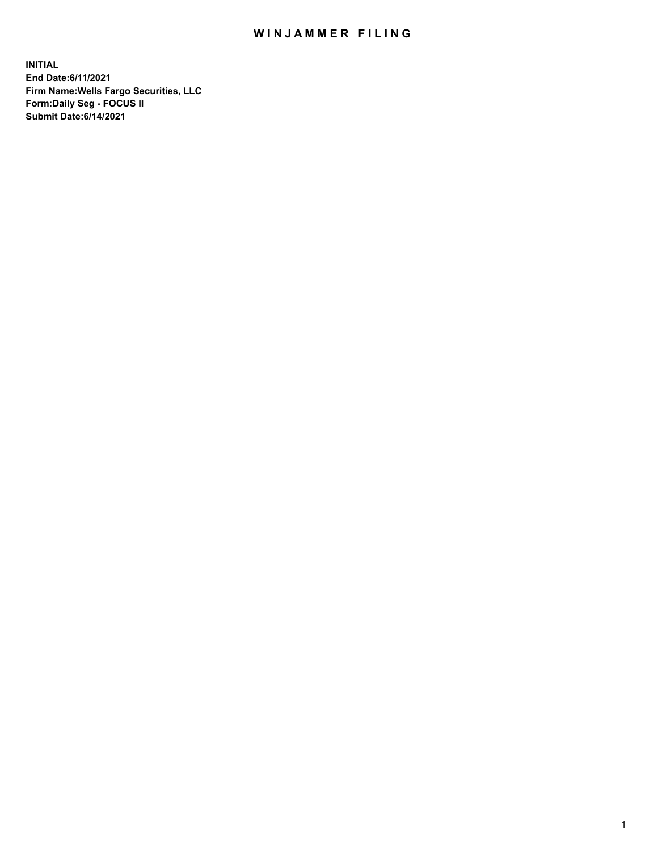## WIN JAMMER FILING

**INITIAL End Date:6/11/2021 Firm Name:Wells Fargo Securities, LLC Form:Daily Seg - FOCUS II Submit Date:6/14/2021**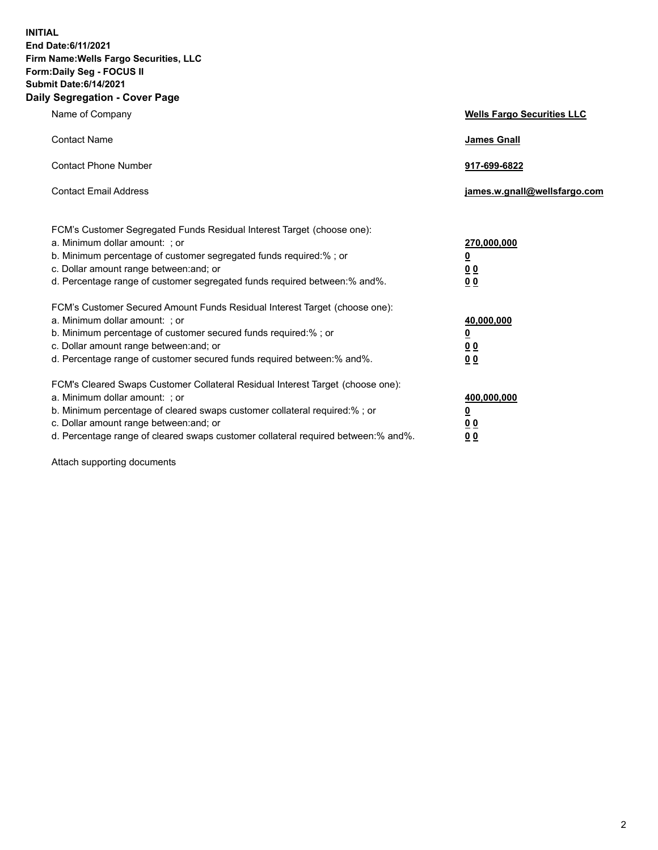**INITIAL End Date:6/11/2021 Firm Name:Wells Fargo Securities, LLC Form:Daily Seg - FOCUS II Submit Date:6/14/2021 Daily Segregation - Cover Page**

| Name of Company                                                                                                                                                                                                                                                                                                                | <b>Wells Fargo Securities LLC</b>                                           |
|--------------------------------------------------------------------------------------------------------------------------------------------------------------------------------------------------------------------------------------------------------------------------------------------------------------------------------|-----------------------------------------------------------------------------|
| <b>Contact Name</b>                                                                                                                                                                                                                                                                                                            | <b>James Gnall</b>                                                          |
| <b>Contact Phone Number</b>                                                                                                                                                                                                                                                                                                    | 917-699-6822                                                                |
| <b>Contact Email Address</b>                                                                                                                                                                                                                                                                                                   | james.w.gnall@wellsfargo.com                                                |
| FCM's Customer Segregated Funds Residual Interest Target (choose one):<br>a. Minimum dollar amount: ; or<br>b. Minimum percentage of customer segregated funds required:% ; or<br>c. Dollar amount range between: and; or<br>d. Percentage range of customer segregated funds required between: % and %.                       | 270,000,000<br>$\underline{\mathbf{0}}$<br>0 <sub>0</sub><br>0 <sub>0</sub> |
| FCM's Customer Secured Amount Funds Residual Interest Target (choose one):<br>a. Minimum dollar amount: ; or<br>b. Minimum percentage of customer secured funds required:%; or<br>c. Dollar amount range between: and; or<br>d. Percentage range of customer secured funds required between: % and %.                          | 40,000,000<br>$\overline{\mathbf{0}}$<br>00<br>0 <sub>0</sub>               |
| FCM's Cleared Swaps Customer Collateral Residual Interest Target (choose one):<br>a. Minimum dollar amount: ; or<br>b. Minimum percentage of cleared swaps customer collateral required:% ; or<br>c. Dollar amount range between: and; or<br>d. Percentage range of cleared swaps customer collateral required between:% and%. | 400,000,000<br><u>0</u><br>00<br>00                                         |

Attach supporting documents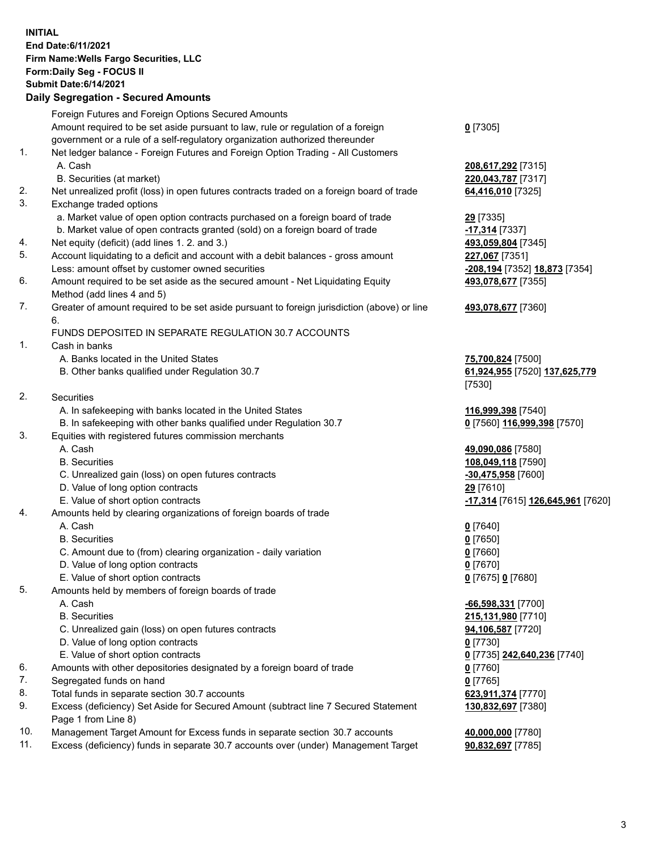**INITIAL End Date:6/11/2021 Firm Name:Wells Fargo Securities, LLC Form:Daily Seg - FOCUS II Submit Date:6/14/2021 Daily Segregation - Secured Amounts**

Foreign Futures and Foreign Options Secured Amounts Amount required to be set aside pursuant to law, rule or regulation of a foreign government or a rule of a self-regulatory organization authorized thereunder 1. Net ledger balance - Foreign Futures and Foreign Option Trading - All Customers A. Cash **208,617,292** [7315] B. Securities (at market) **220,043,787** [7317] 2. Net unrealized profit (loss) in open futures contracts traded on a foreign board of trade **64,416,010** [7325] 3. Exchange traded options a. Market value of open option contracts purchased on a foreign board of trade **29** [7335] b. Market value of open contracts granted (sold) on a foreign board of trade **-17,314** [7337] 4. Net equity (deficit) (add lines 1. 2. and 3.) **493,059,804** [7345] 5. Account liquidating to a deficit and account with a debit balances - gross amount **227,067** [7351] Less: amount offset by customer owned securities **-208,194** [7352] **18,873** [7354] 6. Amount required to be set aside as the secured amount - Net Liquidating Equity Method (add lines 4 and 5) 7. Greater of amount required to be set aside pursuant to foreign jurisdiction (above) or line 6. FUNDS DEPOSITED IN SEPARATE REGULATION 30.7 ACCOUNTS 1. Cash in banks

- A. Banks located in the United States **75,700,824** [7500]
- B. Other banks qualified under Regulation 30.7 **61,924,955** [7520] **137,625,779**
- 2. Securities
	- A. In safekeeping with banks located in the United States **116,999,398** [7540]
- B. In safekeeping with other banks qualified under Regulation 30.7 **0** [7560] **116,999,398** [7570]
- 3. Equities with registered futures commission merchants
	-
	-
	- C. Unrealized gain (loss) on open futures contracts **-30,475,958** [7600]
	- D. Value of long option contracts **29** [7610]
	-
- 4. Amounts held by clearing organizations of foreign boards of trade
	- A. Cash **0** [7640]
	- B. Securities **0** [7650]
	- C. Amount due to (from) clearing organization daily variation **0** [7660]
	- D. Value of long option contracts **0** [7670]
	- E. Value of short option contracts **0** [7675] **0** [7680]
- 5. Amounts held by members of foreign boards of trade
	-
	-
	- C. Unrealized gain (loss) on open futures contracts **94,106,587** [7720]
	- D. Value of long option contracts **0** [7730]
	- E. Value of short option contracts **0** [7735] **242,640,236** [7740]
- 6. Amounts with other depositories designated by a foreign board of trade **0** [7760]
- 7. Segregated funds on hand **0** [7765]
- 8. Total funds in separate section 30.7 accounts **623,911,374** [7770]
- 9. Excess (deficiency) Set Aside for Secured Amount (subtract line 7 Secured Statement Page 1 from Line 8)
- 10. Management Target Amount for Excess funds in separate section 30.7 accounts **40,000,000** [7780]
- 11. Excess (deficiency) funds in separate 30.7 accounts over (under) Management Target **90,832,697** [7785]

**0** [7305]

**493,078,677** [7355]

## **493,078,677** [7360]

[7530]

 A. Cash **49,090,086** [7580] B. Securities **108,049,118** [7590] E. Value of short option contracts **-17,314** [7615] **126,645,961** [7620]

 A. Cash **-66,598,331** [7700] B. Securities **215,131,980** [7710] **130,832,697** [7380]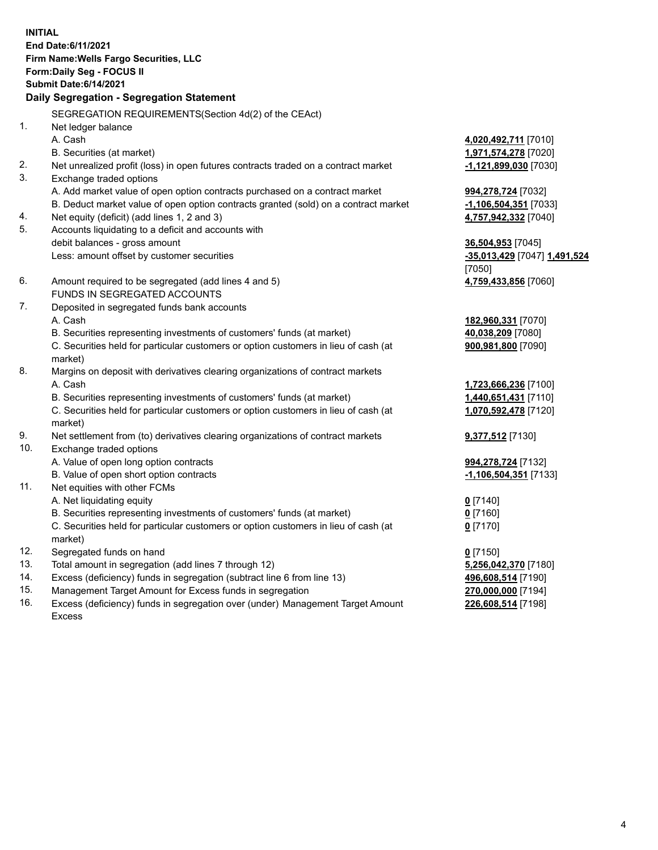**INITIAL End Date:6/11/2021 Firm Name:Wells Fargo Securities, LLC Form:Daily Seg - FOCUS II Submit Date:6/14/2021**

## **Daily Segregation - Segregation Statement**

SEGREGATION REQUIREMENTS(Section 4d(2) of the CEAct)

| 1.  | Net ledger balance                                                                  |                              |
|-----|-------------------------------------------------------------------------------------|------------------------------|
|     | A. Cash                                                                             | 4,020,492,711 [7010]         |
|     | B. Securities (at market)                                                           | 1,971,574,278 [7020]         |
| 2.  | Net unrealized profit (loss) in open futures contracts traded on a contract market  | -1,121,899,030 [7030]        |
| 3.  | Exchange traded options                                                             |                              |
|     | A. Add market value of open option contracts purchased on a contract market         | 994,278,724 [7032]           |
|     | B. Deduct market value of open option contracts granted (sold) on a contract market | -1,106,504,351 [7033]        |
| 4.  | Net equity (deficit) (add lines 1, 2 and 3)                                         | 4,757,942,332 [7040]         |
| 5.  | Accounts liquidating to a deficit and accounts with                                 |                              |
|     | debit balances - gross amount                                                       | 36,504,953 [7045]            |
|     | Less: amount offset by customer securities                                          | -35,013,429 [7047] 1,491,524 |
|     |                                                                                     | [7050]                       |
| 6.  | Amount required to be segregated (add lines 4 and 5)                                | 4,759,433,856 [7060]         |
|     | FUNDS IN SEGREGATED ACCOUNTS                                                        |                              |
| 7.  | Deposited in segregated funds bank accounts                                         |                              |
|     | A. Cash                                                                             | 182,960,331 [7070]           |
|     | B. Securities representing investments of customers' funds (at market)              | 40,038,209 [7080]            |
|     | C. Securities held for particular customers or option customers in lieu of cash (at | 900,981,800 [7090]           |
|     | market)                                                                             |                              |
| 8.  | Margins on deposit with derivatives clearing organizations of contract markets      |                              |
|     | A. Cash                                                                             | 1,723,666,236 [7100]         |
|     | B. Securities representing investments of customers' funds (at market)              | 1,440,651,431 [7110]         |
|     | C. Securities held for particular customers or option customers in lieu of cash (at | 1,070,592,478 [7120]         |
|     | market)                                                                             |                              |
| 9.  | Net settlement from (to) derivatives clearing organizations of contract markets     | 9,377,512 [7130]             |
| 10. | Exchange traded options                                                             |                              |
|     | A. Value of open long option contracts                                              | 994,278,724 [7132]           |
|     | B. Value of open short option contracts                                             | <u>-1,106,504,351</u> [7133] |
| 11. | Net equities with other FCMs                                                        |                              |
|     | A. Net liquidating equity                                                           | $0$ [7140]                   |
|     | B. Securities representing investments of customers' funds (at market)              | $0$ [7160]                   |
|     | C. Securities held for particular customers or option customers in lieu of cash (at | $0$ [7170]                   |
|     | market)                                                                             |                              |
| 12. | Segregated funds on hand                                                            | $0$ [7150]                   |
| 13. | Total amount in segregation (add lines 7 through 12)                                | 5,256,042,370 [7180]         |
| 14. | Excess (deficiency) funds in segregation (subtract line 6 from line 13)             | 496,608,514 [7190]           |
| 15. | Management Target Amount for Excess funds in segregation                            | 270,000,000 [7194]           |
| 16. | Excess (deficiency) funds in segregation over (under) Management Target Amount      | 226,608,514 [7198]           |
|     | Excess                                                                              |                              |